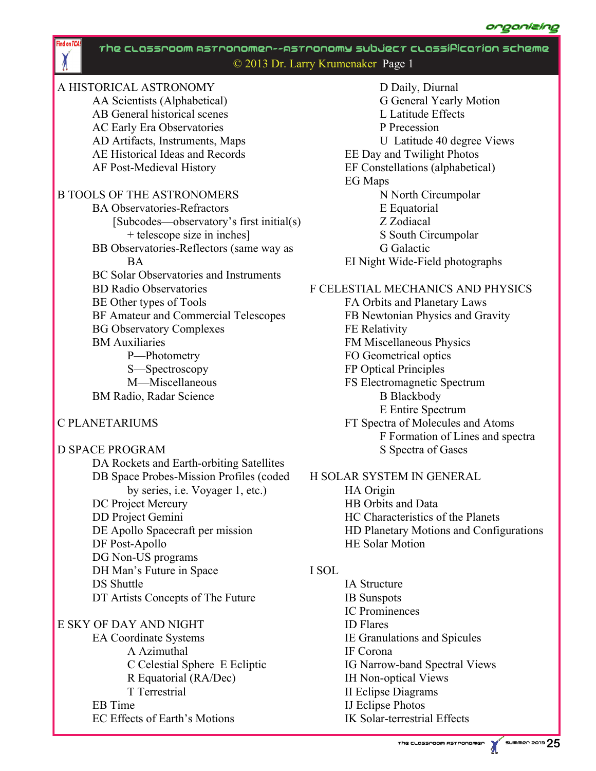

# A HISTORICAL ASTRONOMY

 $\chi$ 

 AA Scientists (Alphabetical) AB General historical scenes AC Early Era Observatories AD Artifacts, Instruments, Maps AE Historical Ideas and Records AF Post-Medieval History

# B TOOLS OF THE ASTRONOMERS

- BA Observatories-Refractors [Subcodes—observatory's first initial(s) + telescope size in inches] BB Observatories-Reflectors (same way as **BA**  BC Solar Observatories and Instruments BD Radio Observatories BE Other types of Tools BF Amateur and Commercial Telescopes
- BG Observatory Complexes

## BM Auxiliaries

 P—Photometry S—Spectroscopy M—Miscellaneous BM Radio, Radar Science

## C PLANETARIUMS

# D SPACE PROGRAM DA Rockets and Earth-orbiting Satellites DB Space Probes-Mission Profiles (coded by series, i.e. Voyager 1, etc.) DC Project Mercury DD Project Gemini DE Apollo Spacecraft per mission DF Post-Apollo DG Non-US programs DH Man's Future in Space DS Shuttle DT Artists Concepts of The Future

# E SKY OF DAY AND NIGHT EA Coordinate Systems A Azimuthal C Celestial Sphere E Ecliptic R Equatorial (RA/Dec) T Terrestrial EB Time EC Effects of Earth's Motions

 D Daily, Diurnal G General Yearly Motion L Latitude Effects P Precession U Latitude 40 degree Views EE Day and Twilight Photos EF Constellations (alphabetical) EG Maps N North Circumpolar E Equatorial Z Zodiacal S South Circumpolar G Galactic EI Night Wide-Field photographs

# F CELESTIAL MECHANICS AND PHYSICS

 FA Orbits and Planetary Laws FB Newtonian Physics and Gravity FE Relativity FM Miscellaneous Physics FO Geometrical optics FP Optical Principles FS Electromagnetic Spectrum B Blackbody E Entire Spectrum FT Spectra of Molecules and Atoms F Formation of Lines and spectra S Spectra of Gases

## H SOLAR SYSTEM IN GENERAL

 HA Origin HB Orbits and Data HC Characteristics of the Planets HD Planetary Motions and Configurations HE Solar Motion

## I SOL

 IA Structure IB Sunspots IC Prominences ID Flares IE Granulations and Spicules IF Corona IG Narrow-band Spectral Views IH Non-optical Views II Eclipse Diagrams IJ Eclipse Photos IK Solar-terrestrial Effects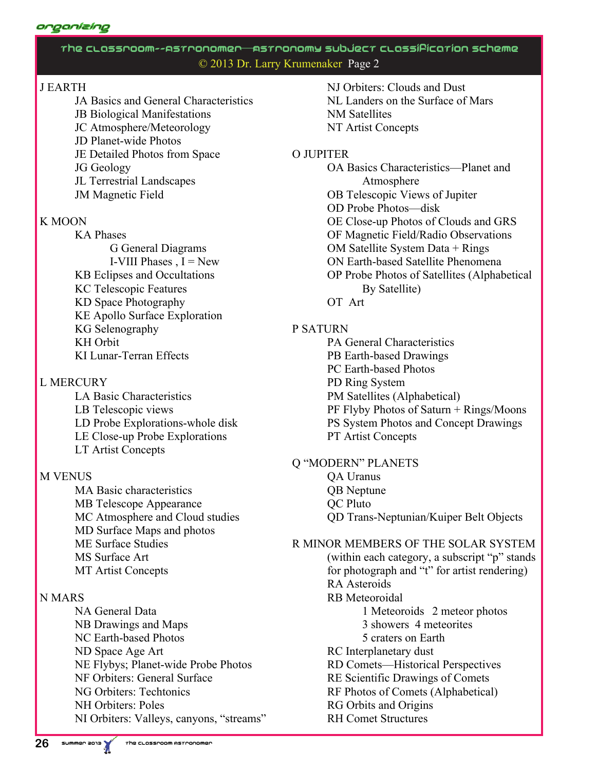#### organlzing

# The Classroom--Astronomer— Astronomy Subject Classification Scheme © 2013 Dr. Larry Krumenaker Page 2

# J EARTH

 JA Basics and General Characteristics JB Biological Manifestations JC Atmosphere/Meteorology JD Planet-wide Photos JE Detailed Photos from Space JG Geology JL Terrestrial Landscapes JM Magnetic Field

#### K MOON

 KA Phases G General Diagrams I-VIII Phases  $I = New$  KB Eclipses and Occultations KC Telescopic Features KD Space Photography KE Apollo Surface Exploration KG Selenography KH Orbit KI Lunar-Terran Effects

## L MERCURY

 LA Basic Characteristics LB Telescopic views LD Probe Explorations-whole disk LE Close-up Probe Explorations LT Artist Concepts

## **M VENUS**

 MA Basic characteristics MB Telescope Appearance MC Atmosphere and Cloud studies MD Surface Maps and photos ME Surface Studies MS Surface Art MT Artist Concepts

## N MARS

 NA General Data NB Drawings and Maps NC Earth-based Photos ND Space Age Art NE Flybys; Planet-wide Probe Photos NF Orbiters: General Surface NG Orbiters: Techtonics NH Orbiters: Poles NI Orbiters: Valleys, canyons, "streams"  NJ Orbiters: Clouds and Dust NL Landers on the Surface of Mars NM Satellites NT Artist Concepts

#### O JUPITER

 OA Basics Characteristics—Planet and Atmosphere OB Telescopic Views of Jupiter OD Probe Photos—disk OE Close-up Photos of Clouds and GRS OF Magnetic Field/Radio Observations OM Satellite System Data + Rings ON Earth-based Satellite Phenomena OP Probe Photos of Satellites (Alphabetical By Satellite) OT Art

# P SATURN

 PA General Characteristics PB Earth-based Drawings PC Earth-based Photos PD Ring System PM Satellites (Alphabetical) PF Flyby Photos of Saturn + Rings/Moons PS System Photos and Concept Drawings PT Artist Concepts

#### Q "MODERN" PLANETS QA Uranus QB Neptune QC Pluto

QD Trans-Neptunian/Kuiper Belt Objects

R MINOR MEMBERS OF THE SOLAR SYSTEM (within each category, a subscript "p" stands for photograph and "t" for artist rendering) RA Asteroids RB Meteoroidal 1 Meteoroids 2 meteor photos 3 showers 4 meteorites 5 craters on Earth RC Interplanetary dust RD Comets—Historical Perspectives RE Scientific Drawings of Comets RF Photos of Comets (Alphabetical) RG Orbits and Origins RH Comet Structures

**26**